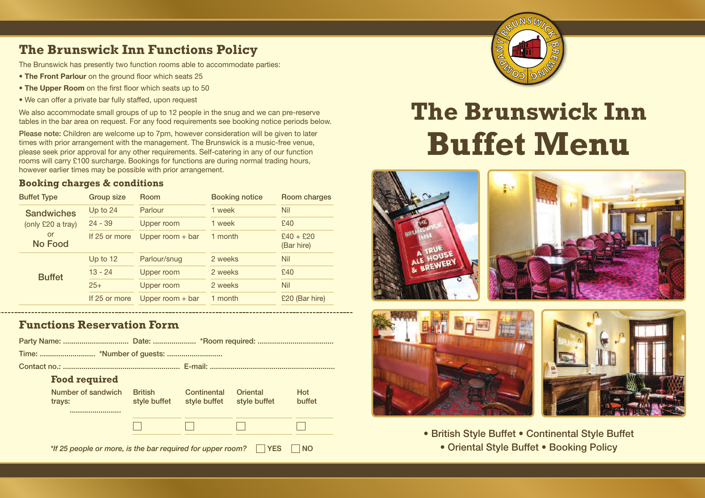#### **The Brunswick Inn Functions Policy**

The Brunswick has presently two function rooms able to accommodate parties:

- **• The Front Parlour** on the ground floor which seats 25
- **• The Upper Room** on the first floor which seats up to 50
- We can offer a private bar fully staffed, upon request

We also accommodate small groups of up to 12 people in the snug and we can pre-reserve tables in the bar area on request. For any food requirements see booking notice periods below.

Please note: Children are welcome up to 7pm, however consideration will be given to later times with prior arrangement with the management. The Brunswick is a music-free venue, please seek prior approval for any other requirements. Self-catering in any of our function rooms will carry £100 surcharge. Bookings for functions are during normal trading hours, however earlier times may be possible with prior arrangement.

#### **Booking charges & conditions**

| <b>Buffet Type</b>                     | Group size    | <b>Room</b>        | <b>Booking notice</b> | Room charges              |
|----------------------------------------|---------------|--------------------|-----------------------|---------------------------|
| <b>Sandwiches</b><br>(only £20 a tray) | Up to $24$    | Parlour            | 1 week                | <b>Nil</b>                |
|                                        | $24 - 39$     | Upper room         | 1 week                | £40                       |
| or<br>No Food                          | If 25 or more | Upper room $+$ bar | 1 month               | $£40 + £20$<br>(Bar hire) |
| <b>Buffet</b>                          | Up to $12$    | Parlour/snug       | 2 weeks               | <b>Nil</b>                |
|                                        | $13 - 24$     | Upper room         | 2 weeks               | £40                       |
|                                        | $25+$         | Upper room         | 2 weeks               | <b>Nil</b>                |
|                                        | If 25 or more | Upper room $+$ bar | 1 month               | £20 (Bar hire)            |

#### **Functions Reservation Form**

|                                                                                       | <b>Food required</b>         |                                |                             |                          |               |  |  |  |
|---------------------------------------------------------------------------------------|------------------------------|--------------------------------|-----------------------------|--------------------------|---------------|--|--|--|
|                                                                                       | Number of sandwich<br>trays: | <b>British</b><br>style buffet | Continental<br>style buffet | Oriental<br>style buffet | Hot<br>buffet |  |  |  |
|                                                                                       |                              |                                |                             |                          |               |  |  |  |
|                                                                                       |                              |                                |                             |                          |               |  |  |  |
| <b>YES</b><br>*If 25 people or more, is the bar required for upper room?<br><b>NO</b> |                              |                                |                             |                          |               |  |  |  |



# **The Brunswick Inn Buffet Menu**





• British Style Buffet • Continental Style Buffet • Oriental Style Buffet • Booking Policy